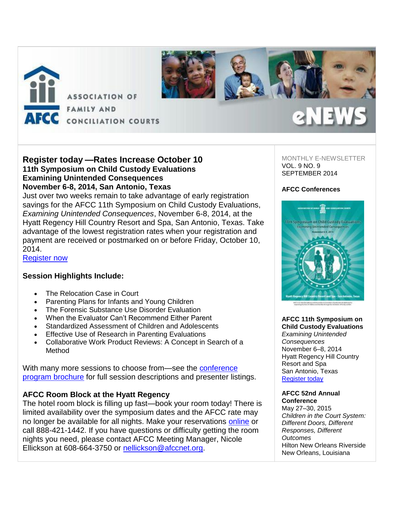

## **Register today —Rates Increase October 10 11th Symposium on Child Custody Evaluations Examining Unintended Consequences November 6-8, 2014, San Antonio, Texas**

Just over two weeks remain to take advantage of early registration savings for the AFCC 11th Symposium on Child Custody Evaluations, *Examining Unintended Consequences*, November 6-8, 2014, at the Hyatt Regency Hill Country Resort and Spa, San Antonio, Texas. Take advantage of the lowest registration rates when your registration and payment are received or postmarked on or before Friday, October 10, 2014.

[Register now](http://afcc.networkats.com/members_online/utilities/emailct.asp?a1fe157f70c6e54b9c1c1895cf8de5791680de4bec9410c6df4cad32517a75b79ad8d92c087099ea)

# **Session Highlights Include:**

- The Relocation Case in Court
- Parenting Plans for Infants and Young Children
- The Forensic Substance Use Disorder Evaluation
- When the Evaluator Can't Recommend Either Parent
- Standardized Assessment of Children and Adolescents
- Effective Use of Research in Parenting Evaluations
- Collaborative Work Product Reviews: A Concept in Search of a Method

With many more sessions to choose from—see the conference [program brochure](http://afcc.networkats.com/members_online/utilities/emailct.asp?14707bab25e0e3b3586a01c82ffabae475c8cfdeec9410c6df4cad32517a75b79ad8d92c087099ea) for full session descriptions and presenter listings.

# **AFCC Room Block at the Hyatt Regency**

The hotel room block is filling up fast—book your room today! There is limited availability over the symposium dates and the AFCC rate may no longer be available for all nights. Make your reservations [online](http://afcc.networkats.com/members_online/utilities/emailct.asp?a1fe157f70c6e54b9c1c1895cf8de5791680de4bec9410c6df4cad32517a75b79ad8d92c087099ea) or call 888-421-1442. If you have questions or difficulty getting the room nights you need, please contact AFCC Meeting Manager, Nicole Ellickson at 608-664-3750 or [nellickson@afccnet.org.](mailto:ellickson@afccnet.org)

MONTHLY E-NEWSLETTER VOL. 9 NO. 9 SEPTEMBER 2014

### **AFCC Conferences**



**AFCC 11th Symposium on Child Custody Evaluations**

*Examining Unintended Consequences* November 6–8, 2014 Hyatt Regency Hill Country Resort and Spa San Antonio, Texas [Register today](http://afcc.networkats.com/members_online/utilities/emailct.asp?0d648f0ad85ce6e3c376c3050795defc1dcd565aec9410c6df4cad32517a75b79ad8d92c087099ea)

#### **AFCC 52nd Annual Conference**

May 27–30, 2015 *Children in the Court System: Different Doors, Different Responses, Different Outcomes* Hilton New Orleans Riverside New Orleans, Louisiana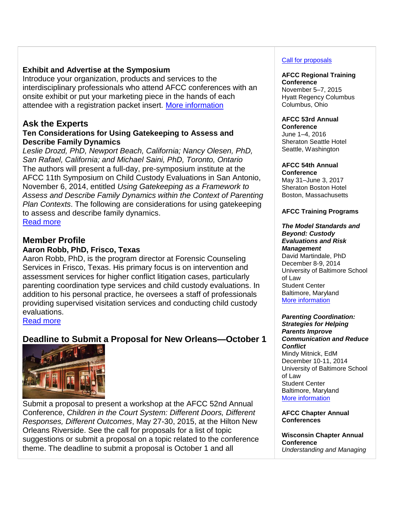# **Exhibit and Advertise at the Symposium**

Introduce your organization, products and services to the interdisciplinary professionals who attend AFCC conferences with an onsite exhibit or put your marketing piece in the hands of each attendee with a registration packet insert. [More information](http://afcc.networkats.com/members_online/utilities/emailct.asp?a1fe157f70c6e54b9c1c1895cf8de5791680de4bec9410c6df4cad32517a75b79ad8d92c087099ea)

# **Ask the Experts**

# **Ten Considerations for Using Gatekeeping to Assess and Describe Family Dynamics**

*Leslie Drozd, PhD, Newport Beach, California; Nancy Olesen, PhD, San Rafael, California; and Michael Saini, PhD, Toronto, Ontario* The authors will present a full-day, pre-symposium institute at the AFCC 11th Symposium on Child Custody Evaluations in San Antonio, November 6, 2014, entitled *Using Gatekeeping as a Framework to Assess and Describe Family Dynamics within the Context of Parenting Plan Contexts*. The following are considerations for using gatekeeping to assess and describe family dynamics. [Read more](http://afcc.networkats.com/members_online/utilities/emailct.asp?5dc846d51d408685a70c45e78dd09afa57830307ec9410c6df4cad32517a75b79ad8d92c087099ea)

# **Member Profile**

# **Aaron Robb, PhD, Frisco, Texas**

Aaron Robb, PhD, is the program director at Forensic Counseling Services in Frisco, Texas. His primary focus is on intervention and assessment services for higher conflict litigation cases, particularly parenting coordination type services and child custody evaluations. In addition to his personal practice, he oversees a staff of professionals providing supervised visitation services and conducting child custody evaluations.

[Read more](http://afcc.networkats.com/members_online/utilities/emailct.asp?0860c4d267cbdcad906f81bf4249014ea4c564d3ec9410c6df4cad32517a75b79ad8d92c087099ea)

# **Deadline to Submit a Proposal for New Orleans—October 1**



Submit a proposal to present a workshop at the AFCC 52nd Annual Conference, *Children in the Court System: Different Doors, Different Responses, Different Outcomes*, May 27-30, 2015, at the Hilton New Orleans Riverside. See the call for proposals for a list of topic suggestions or submit a proposal on a topic related to the conference theme. The deadline to submit a proposal is October 1 and all

## [Call for proposals](http://afcc.networkats.com/members_online/utilities/emailct.asp?d16de11164d96ecce76481c3ddea042c274ccf49ec9410c6df4cad32517a75b79ad8d92c087099ea)

#### **AFCC Regional Training Conference**

November 5–7, 2015 Hyatt Regency Columbus Columbus, Ohio

# **AFCC 53rd Annual**

**Conference** June 1–4, 2016 Sheraton Seattle Hotel Seattle, Washington

# **AFCC 54th Annual**

**Conference** May 31–June 3, 2017 Sheraton Boston Hotel Boston, Massachusetts

### **AFCC Training Programs**

# *The Model Standards and Beyond: Custody*

*Evaluations and Risk Management* David Martindale, PhD December 8-9, 2014 University of Baltimore School of Law Student Center Baltimore, Maryland [More information](http://afcc.networkats.com/members_online/utilities/emailct.asp?01f4f6b08814b852b7bf721c9d82ab70fd713bc0ec9410c6df4cad32517a75b79ad8d92c087099ea)

#### *Parenting Coordination: Strategies for Helping Parents Improve*

*Communication and Reduce Conflict* Mindy Mitnick, EdM December 10-11, 2014 University of Baltimore School of Law Student Center Baltimore, Maryland [More information](http://afcc.networkats.com/members_online/utilities/emailct.asp?01f4f6b08814b852b7bf721c9d82ab70fd713bc0ec9410c6df4cad32517a75b79ad8d92c087099ea)

**AFCC Chapter Annual Conferences**

**Wisconsin Chapter Annual Conference** *Understanding and Managing*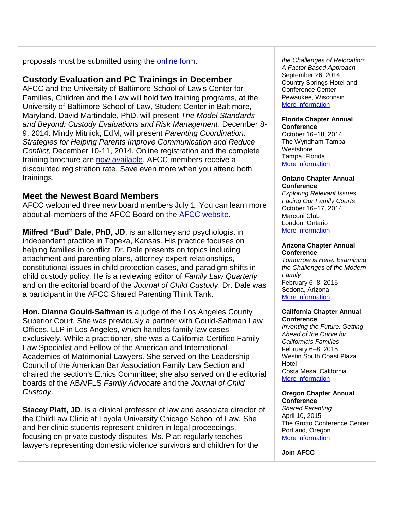proposals must be submitted using the [online form.](http://afcc.networkats.com/members_online/utilities/emailct.asp?d16de11164d96ecce76481c3ddea042c274ccf49ec9410c6df4cad32517a75b79ad8d92c087099ea)

# **Custody Evaluation and PC Trainings in December**

AFCC and the University of Baltimore School of Law's Center for Families, Children and the Law will hold two training programs, at the University of Baltimore School of Law, Student Center in Baltimore, Maryland. David Martindale, PhD, will present *The Model Standards and Beyond: Custody Evaluations and Risk Management*, December 8- 9, 2014. Mindy Mitnick, EdM, will present *Parenting Coordination: Strategies for Helping Parents Improve Communication and Reduce Conflict*, December 10-11, 2014. Online registration and the complete training brochure are [now available.](http://afcc.networkats.com/members_online/utilities/emailct.asp?01f4f6b08814b852b7bf721c9d82ab70fd713bc0ec9410c6df4cad32517a75b79ad8d92c087099ea) AFCC members receive a discounted registration rate. Save even more when you attend both trainings.

# **Meet the Newest Board Members**

AFCC welcomed three new board members July 1. You can learn more about all members of the AFCC Board on the [AFCC website.](http://afcc.networkats.com/members_online/utilities/emailct.asp?36e019c5d5495099068eab047dc78e4f0fee17ffec9410c6df4cad32517a75b79ad8d92c087099ea)

**Milfred "Bud" Dale, PhD, JD**, is an attorney and psychologist in independent practice in Topeka, Kansas. His practice focuses on helping families in conflict. Dr. Dale presents on topics including attachment and parenting plans, attorney-expert relationships, constitutional issues in child protection cases, and paradigm shifts in child custody policy. He is a reviewing editor of *Family Law Quarterly* and on the editorial board of the *Journal of Child Custody*. Dr. Dale was a participant in the AFCC Shared Parenting Think Tank.

**Hon. Dianna Gould-Saltman** is a judge of the Los Angeles County Superior Court. She was previously a partner with Gould-Saltman Law Offices, LLP in Los Angeles, which handles family law cases exclusively. While a practitioner, she was a California Certified Family Law Specialist and Fellow of the American and International Academies of Matrimonial Lawyers. She served on the Leadership Council of the American Bar Association Family Law Section and chaired the section's Ethics Committee; she also served on the editorial boards of the ABA/FLS *Family Advocate* and the *Journal of Child Custody*.

**Stacey Platt, JD**, is a clinical professor of law and associate director of the ChildLaw Clinic at Loyola University Chicago School of Law. She and her clinic students represent children in legal proceedings, focusing on private custody disputes. Ms. Platt regularly teaches lawyers representing domestic violence survivors and children for the

*the Challenges of Relocation: A Factor Based Approach* September 26, 2014 Country Springs Hotel and Conference Center Pewaukee, Wisconsin [More information](http://afcc.networkats.com/members_online/utilities/emailct.asp?37cb853d3060e91911860860a7b10d227bac3e8cec9410c6df4cad32517a75b79ad8d92c087099ea) 

#### **Florida Chapter Annual Conference**

October 16–18, 2014 The Wyndham Tampa **Westshore** Tampa, Florida [More information](http://afcc.networkats.com/members_online/utilities/emailct.asp?0dfbc7ab527efbbee0a73ad1497e3a73fb3d4851ec9410c6df4cad32517a75b79ad8d92c087099ea) 

#### **Ontario Chapter Annual Conference**

*Exploring Relevant Issues Facing Our Family Courts* October 16–17, 2014 Marconi Club London, Ontario [More information](http://afcc.networkats.com/members_online/utilities/emailct.asp?b418980eaa88be797dd3cc97ac4c441cd4ccd243ec9410c6df4cad32517a75b79ad8d92c087099ea)

#### **Arizona Chapter Annual Conference**

*Tomorrow is Here: Examining the Challenges of the Modern Family* February 6–8, 2015 Sedona, Arizona [More information](http://afcc.networkats.com/members_online/utilities/emailct.asp?b4a8d4c20b7d6ae39b3b04a154deadb5bd90932cec9410c6df4cad32517a75b79ad8d92c087099ea)

### **California Chapter Annual Conference**

*Inventing the Future: Getting Ahead of the Curve for California's Families* February 6–8, 2015 Westin South Coast Plaza Hotel Costa Mesa, California [More information](http://afcc.networkats.com/members_online/utilities/emailct.asp?fe4f235c9b8da73954dceee386552a42cbd43104ec9410c6df4cad32517a75b79ad8d92c087099ea)

#### **Oregon Chapter Annual Conference**

*Shared Parenting* April 10, 2015 The Grotto Conference Center Portland, Oregon [More information](http://afcc.networkats.com/members_online/utilities/emailct.asp?14d7a347b6c63cdd2233b0b68d96fb60e6e36c2fec9410c6df4cad32517a75b79ad8d92c087099ea)

**Join AFCC**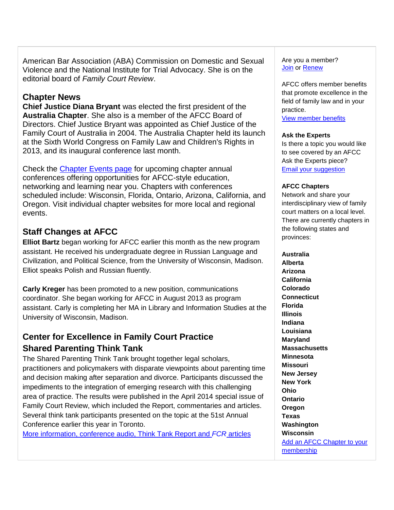American Bar Association (ABA) Commission on Domestic and Sexual Violence and the National Institute for Trial Advocacy. She is on the editorial board of *Family Court Review*.

# **Chapter News**

**Chief Justice Diana Bryant** was elected the first president of the **Australia Chapter**. She also is a member of the AFCC Board of Directors. Chief Justice Bryant was appointed as Chief Justice of the Family Court of Australia in 2004. The Australia Chapter held its launch at the Sixth World Congress on Family Law and Children's Rights in 2013, and its inaugural conference last month.

Check the [Chapter Events page](http://afcc.networkats.com/members_online/utilities/emailct.asp?8af240475123a0b57b68db63accd571c8d1a6cffec9410c6df4cad32517a75b79ad8d92c087099ea) for upcoming chapter annual conferences offering opportunities for AFCC-style education, networking and learning near you. Chapters with conferences scheduled include: Wisconsin, Florida, Ontario, Arizona, California, and Oregon. Visit individual chapter websites for more local and regional events.

# **Staff Changes at AFCC**

**Elliot Bartz** began working for AFCC earlier this month as the new program assistant. He received his undergraduate degree in Russian Language and Civilization, and Political Science, from the University of Wisconsin, Madison. Elliot speaks Polish and Russian fluently.

**Carly Kreger** has been promoted to a new position, communications coordinator. She began working for AFCC in August 2013 as program assistant. Carly is completing her MA in Library and Information Studies at the University of Wisconsin, Madison.

# **Center for Excellence in Family Court Practice Shared Parenting Think Tank**

The Shared Parenting Think Tank brought together legal scholars, practitioners and policymakers with disparate viewpoints about parenting time and decision making after separation and divorce. Participants discussed the impediments to the integration of emerging research with this challenging area of practice. The results were published in the April 2014 special issue of Family Court Review, which included the Report, commentaries and articles. Several think tank participants presented on the topic at the 51st Annual Conference earlier this year in Toronto.

[More information, conference audio, Think Tank Report and](http://afcc.networkats.com/members_online/utilities/emailct.asp?b213a93cd9603a1e85b856403e363eb36014fd71ec9410c6df4cad32517a75b79ad8d92c087099ea) *FCR* articles

Are you a member? [Join](http://afcc.networkats.com/members_online/utilities/emailct.asp?b751de7ff217c356b643994068f1f2d433b0d219ec9410c6df4cad32517a75b79ad8d92c087099ea) or [Renew](http://afcc.networkats.com/members_online/utilities/emailct.asp?ae4c6c3d85e2b1529649b51bb36d15751fc634bcec9410c6df4cad32517a75b79ad8d92c087099ea)

AFCC offers member benefits that promote excellence in the field of family law and in your practice.

[View member benefits](http://afcc.networkats.com/members_online/utilities/emailct.asp?ee4060e97d262754bb806edc59f75ffb1e1ebbb9ec9410c6df4cad32517a75b79ad8d92c087099ea)

### **Ask the Experts**

Is there a topic you would like to see covered by an AFCC Ask the Experts piece? [Email your suggestion](mailto:editor@afccnet.org)

### **AFCC Chapters**

Network and share your interdisciplinary view of family court matters on a local level. There are currently chapters in the following states and provinces:

**Australia Alberta Arizona California Colorado Connecticut Florida Illinois Indiana Louisiana Maryland Massachusetts Minnesota Missouri New Jersey New York Ohio Ontario Oregon Texas Washington Wisconsin** [Add an AFCC Chapter to your](http://afcc.networkats.com/members_online/utilities/emailct.asp?1ef1010f242f85e6a62cd8eabac38d5c925b33d4ec9410c6df4cad32517a75b79ad8d92c087099ea)  [membership](http://afcc.networkats.com/members_online/utilities/emailct.asp?1ef1010f242f85e6a62cd8eabac38d5c925b33d4ec9410c6df4cad32517a75b79ad8d92c087099ea)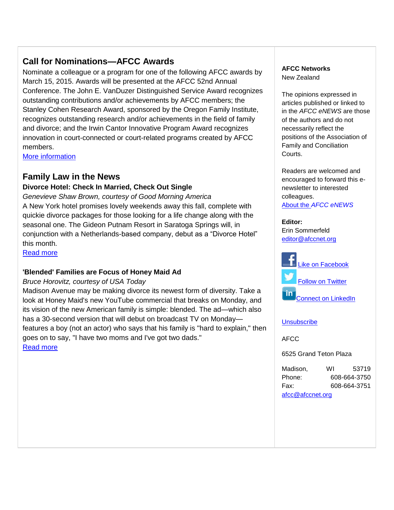# **Call for Nominations—AFCC Awards**

Nominate a colleague or a program for one of the following AFCC awards by March 15, 2015. Awards will be presented at the AFCC 52nd Annual Conference. The John E. VanDuzer Distinguished Service Award recognizes outstanding contributions and/or achievements by AFCC members; the Stanley Cohen Research Award, sponsored by the Oregon Family Institute, recognizes outstanding research and/or achievements in the field of family and divorce; and the Irwin Cantor Innovative Program Award recognizes innovation in court-connected or court-related programs created by AFCC members.

[More information](http://afcc.networkats.com/members_online/utilities/emailct.asp?fddb38fc89dbc6da66044449dbbd1ebcb13c8236ec9410c6df4cad32517a75b79ad8d92c087099ea)

# **Family Law in the News**

# **Divorce Hotel: Check In Married, Check Out Single**

*Genevieve Shaw Brown, courtesy of Good Morning America* A New York hotel promises lovely weekends away this fall, complete with quickie divorce packages for those looking for a life change along with the seasonal one. The Gideon Putnam Resort in Saratoga Springs will, in conjunction with a Netherlands-based company, debut as a "Divorce Hotel" this month.

[Read more](http://afcc.networkats.com/members_online/utilities/emailct.asp?10e998c45824ab53480325ec6c5686c421754072ec9410c6df4cad32517a75b79ad8d92c087099ea)

# **'Blended' Families are Focus of Honey Maid Ad**

## *Bruce Horovitz, courtesy of USA Today*

Madison Avenue may be making divorce its newest form of diversity. Take a look at Honey Maid's new YouTube commercial that breaks on Monday, and its vision of the new American family is simple: blended. The ad—which also has a 30-second version that will debut on broadcast TV on Monday features a boy (not an actor) who says that his family is "hard to explain," then goes on to say, "I have two moms and I've got two dads.["](http://afcc.networkats.com/members_online/utilities/emailct.asp?69f451b9b6df12bc522fb0cc51bc637008d21962ec9410c6df4cad32517a75b79ad8d92c087099ea)

[Read more](http://afcc.networkats.com/members_online/utilities/emailct.asp?69f451b9b6df12bc522fb0cc51bc637008d21962ec9410c6df4cad32517a75b79ad8d92c087099ea) 

## **AFCC Networks** New Zealand

The opinions expressed in articles published or linked to in the *AFCC eNEWS* are those of the authors and do not necessarily reflect the positions of the Association of Family and Conciliation Courts.

Readers are welcomed and encouraged to forward this enewsletter to interested colleagues. About the *[AFCC eNEWS](http://afcc.networkats.com/members_online/utilities/emailct.asp?b2ea0839877fa729efcdf636213322125f4665c7ec9410c6df4cad32517a75b79ad8d92c087099ea)*

### **Editor:**

Erin Sommerfeld [editor@afccnet.org](mailto:editor@afccnet.org)



### **[Unsubscribe](mailto:afcc@afccnet.org)**

AFCC

6525 Grand Teton Plaza

| Madison,         | WI | 53719        |
|------------------|----|--------------|
| Phone:           |    | 608-664-3750 |
| Fax:             |    | 608-664-3751 |
| afcc@afccnet.org |    |              |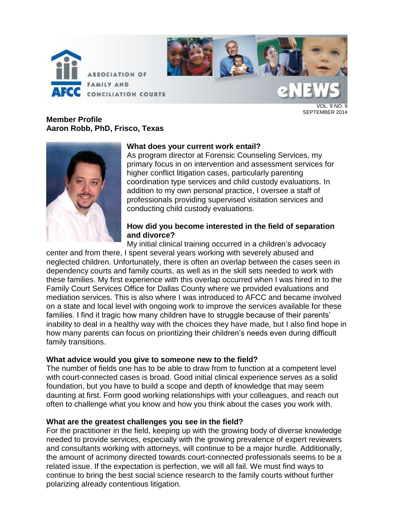



VOL. 9 NO. 9 SEPTEMBER 2014

# **Member Profile Aaron Robb, PhD, Frisco, Texas**



# **What does your current work entail?**

As program director at Forensic Counseling Services, my primary focus in on intervention and assessment services for higher conflict litigation cases, particularly parenting coordination type services and child custody evaluations. In addition to my own personal practice, I oversee a staff of professionals providing supervised visitation services and conducting child custody evaluations.

# **How did you become interested in the field of separation and divorce?**

My initial clinical training occurred in a children's advocacy center and from there, I spent several years working with severely abused and neglected children. Unfortunately, there is often an overlap between the cases seen in dependency courts and family courts, as well as in the skill sets needed to work with these families. My first experience with this overlap occurred when I was hired in to the Family Court Services Office for Dallas County where we provided evaluations and mediation services. This is also where I was introduced to AFCC and became involved on a state and local level with ongoing work to improve the services available for these families. I find it tragic how many children have to struggle because of their parents' inability to deal in a healthy way with the choices they have made, but I also find hope in how many parents can focus on prioritizing their children's needs even during difficult family transitions.

# **What advice would you give to someone new to the field?**

The number of fields one has to be able to draw from to function at a competent level with court-connected cases is broad. Good initial clinical experience serves as a solid foundation, but you have to build a scope and depth of knowledge that may seem daunting at first. Form good working relationships with your colleagues, and reach out often to challenge what you know and how you think about the cases you work with.

# **What are the greatest challenges you see in the field?**

For the practitioner in the field, keeping up with the growing body of diverse knowledge needed to provide services, especially with the growing prevalence of expert reviewers and consultants working with attorneys, will continue to be a major hurdle. Additionally, the amount of acrimony directed towards court-connected professionals seems to be a related issue. If the expectation is perfection, we will all fail. We must find ways to continue to bring the best social science research to the family courts without further polarizing already contentious litigation.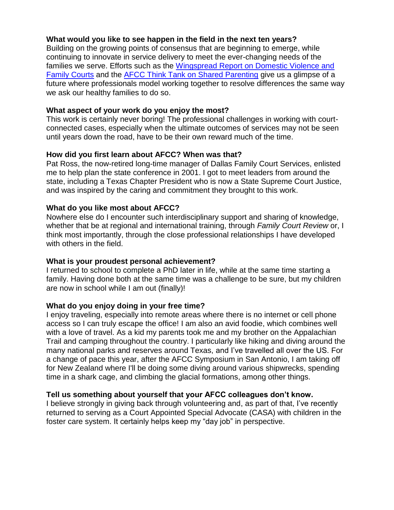# **What would you like to see happen in the field in the next ten years?**

Building on the growing points of consensus that are beginning to emerge, while continuing to innovate in service delivery to meet the ever-changing needs of the families we serve. Efforts such as the Wingspread Report [on Domestic Violence and](http://www.afccnet.org/Resource-Center/Center-for-Excellence-in-Family-Court-Practice/ctl/ViewCommittee/CommitteeID/14/mid/495)  [Family Courts](http://www.afccnet.org/Resource-Center/Center-for-Excellence-in-Family-Court-Practice/ctl/ViewCommittee/CommitteeID/14/mid/495) and the [AFCC Think Tank on Shared Parenting](http://www.afccnet.org/Resource-Center/Center-for-Excellence-in-Family-Court-Practice/ctl/ViewCommittee/CommitteeID/27/mid/495) give us a glimpse of a future where professionals model working together to resolve differences the same way we ask our healthy families to do so.

## **What aspect of your work do you enjoy the most?**

This work is certainly never boring! The professional challenges in working with courtconnected cases, especially when the ultimate outcomes of services may not be seen until years down the road, have to be their own reward much of the time.

## **How did you first learn about AFCC? When was that?**

Pat Ross, the now-retired long-time manager of Dallas Family Court Services, enlisted me to help plan the state conference in 2001. I got to meet leaders from around the state, including a Texas Chapter President who is now a State Supreme Court Justice, and was inspired by the caring and commitment they brought to this work.

## **What do you like most about AFCC?**

Nowhere else do I encounter such interdisciplinary support and sharing of knowledge, whether that be at regional and international training, through *Family Court Review* or, I think most importantly, through the close professional relationships I have developed with others in the field.

# **What is your proudest personal achievement?**

I returned to school to complete a PhD later in life, while at the same time starting a family. Having done both at the same time was a challenge to be sure, but my children are now in school while I am out (finally)!

# **What do you enjoy doing in your free time?**

I enjoy traveling, especially into remote areas where there is no internet or cell phone access so I can truly escape the office! I am also an avid foodie, which combines well with a love of travel. As a kid my parents took me and my brother on the Appalachian Trail and camping throughout the country. I particularly like hiking and diving around the many national parks and reserves around Texas, and I've travelled all over the US. For a change of pace this year, after the AFCC Symposium in San Antonio, I am taking off for New Zealand where I'll be doing some diving around various shipwrecks, spending time in a shark cage, and climbing the glacial formations, among other things.

# **Tell us something about yourself that your AFCC colleagues don't know.**

I believe strongly in giving back through volunteering and, as part of that, I've recently returned to serving as a Court Appointed Special Advocate (CASA) with children in the foster care system. It certainly helps keep my "day job" in perspective.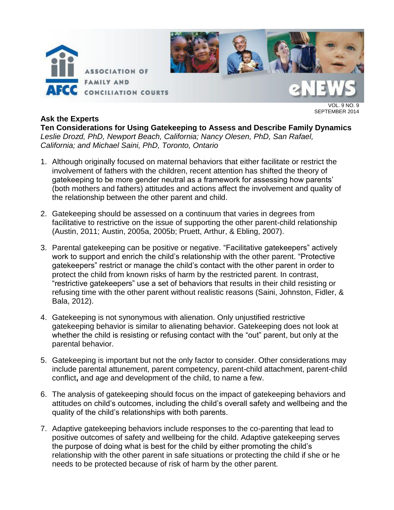



VOL. 9 NO. 9 SEPTEMBER 2014

# **Ask the Experts**

**Ten Considerations for Using Gatekeeping to Assess and Describe Family Dynamics**  *Leslie Drozd, PhD, Newport Beach, California; Nancy Olesen, PhD, San Rafael, California; and Michael Saini, PhD, Toronto, Ontario* 

- 1. Although originally focused on maternal behaviors that either facilitate or restrict the involvement of fathers with the children, recent attention has shifted the theory of gatekeeping to be more gender neutral as a framework for assessing how parents' (both mothers and fathers) attitudes and actions affect the involvement and quality of the relationship between the other parent and child.
- 2. Gatekeeping should be assessed on a continuum that varies in degrees from facilitative to restrictive on the issue of supporting the other parent-child relationship (Austin, 2011; Austin, 2005a, 2005b; Pruett, Arthur, & Ebling, 2007).
- 3. Parental gatekeeping can be positive or negative. "Facilitative gatekeepers" actively work to support and enrich the child's relationship with the other parent. "Protective gatekeepers" restrict or manage the child's contact with the other parent in order to protect the child from known risks of harm by the restricted parent. In contrast, "restrictive gatekeepers" use a set of behaviors that results in their child resisting or refusing time with the other parent without realistic reasons (Saini, Johnston, Fidler, & Bala, 2012).
- 4. Gatekeeping is not synonymous with alienation. Only unjustified restrictive gatekeeping behavior is similar to alienating behavior. Gatekeeping does not look at whether the child is resisting or refusing contact with the "out" parent, but only at the parental behavior.
- 5. Gatekeeping is important but not the only factor to consider. Other considerations may include parental attunement, parent competency, parent-child attachment, parent-child conflict**,** and age and development of the child, to name a few.
- 6. The analysis of gatekeeping should focus on the impact of gatekeeping behaviors and attitudes on child's outcomes, including the child's overall safety and wellbeing and the quality of the child's relationships with both parents.
- 7. Adaptive gatekeeping behaviors include responses to the co-parenting that lead to positive outcomes of safety and wellbeing for the child. Adaptive gatekeeping serves the purpose of doing what is best for the child by either promoting the child's relationship with the other parent in safe situations or protecting the child if she or he needs to be protected because of risk of harm by the other parent.